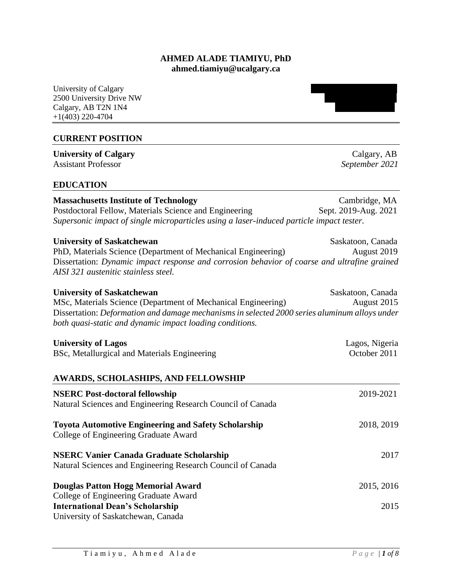## **AHMED ALADE TIAMIYU, PhD ahmed.tiamiyu@ucalgary.ca**

University of Calgary 2500 University Drive NW Calgary, AB T2N 1N4 +1(403) 220-4704

## **CURRENT POSITION**

**University of Calgary** Calgary **Calgary** Assistant Professor *September 2021*

## **EDUCATION**

| <b>Massachusetts Institute of Technology</b>                                             | Cambridge, MA        |
|------------------------------------------------------------------------------------------|----------------------|
| Postdoctoral Fellow, Materials Science and Engineering                                   | Sept. 2019-Aug. 2021 |
| Supersonic impact of single microparticles using a laser-induced particle impact tester. |                      |

| <b>University of Saskatchewan</b>                                                            | Saskatoon, Canada |
|----------------------------------------------------------------------------------------------|-------------------|
| PhD, Materials Science (Department of Mechanical Engineering)                                | August 2019       |
| Dissertation: Dynamic impact response and corrosion behavior of coarse and ultrafine grained |                   |
| AISI 321 austenitic stainless steel.                                                         |                   |

| <b>University of Saskatchewan</b>                                                                    | Saskatoon, Canada |
|------------------------------------------------------------------------------------------------------|-------------------|
| MSc, Materials Science (Department of Mechanical Engineering)                                        | August 2015       |
| Dissertation: <i>Deformation and damage mechanisms in selected 2000 series aluminum alloys under</i> |                   |
| both quasi-static and dynamic impact loading conditions.                                             |                   |

| <b>University of Lagos</b>                   | Lagos, Nigeria |
|----------------------------------------------|----------------|
| BSc, Metallurgical and Materials Engineering | October 2011   |
|                                              |                |

#### **AWARDS, SCHOLASHIPS, AND FELLOWSHIP**

| <b>NSERC Post-doctoral fellowship</b><br>Natural Sciences and Engineering Research Council of Canada           | 2019-2021  |
|----------------------------------------------------------------------------------------------------------------|------------|
| <b>Toyota Automotive Engineering and Safety Scholarship</b><br>College of Engineering Graduate Award           | 2018, 2019 |
| <b>NSERC Vanier Canada Graduate Scholarship</b><br>Natural Sciences and Engineering Research Council of Canada | 2017       |
| Douglas Patton Hogg Memorial Award<br>College of Engineering Graduate Award                                    | 2015, 2016 |
| <b>International Dean's Scholarship</b><br>University of Saskatchewan, Canada                                  | 2015       |

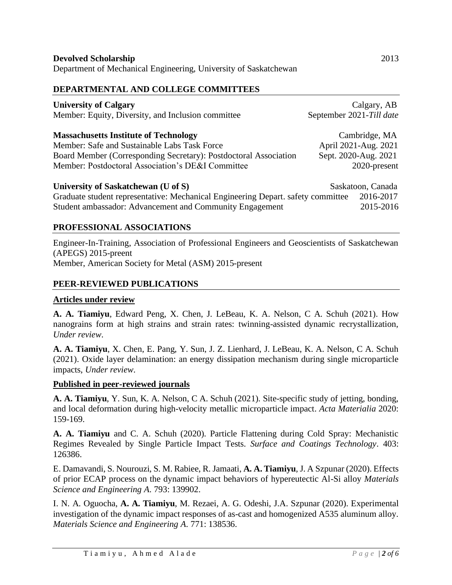## **DEPARTMENTAL AND COLLEGE COMMITTEES**

| <b>University of Calgary</b><br>Member: Equity, Diversity, and Inclusion committee | Calgary, AB<br>September 2021-Till date |
|------------------------------------------------------------------------------------|-----------------------------------------|
| <b>Massachusetts Institute of Technology</b>                                       | Cambridge, MA                           |
| Member: Safe and Sustainable Labs Task Force                                       | April 2021-Aug. 2021                    |
| Board Member (Corresponding Secretary): Postdoctoral Association                   | Sept. 2020-Aug. 2021                    |
| Member: Postdoctoral Association's DE&I Committee                                  | 2020-present                            |
|                                                                                    |                                         |
| University of Saskatchewan (U of S)                                                | Saskatoon, Canada                       |
| Graduate student representative: Mechanical Engineering Depart. safety committee   | 2016-2017                               |
| Student ambassador: Advancement and Community Engagement                           | 2015-2016                               |
|                                                                                    |                                         |

## **PROFESSIONAL ASSOCIATIONS**

Engineer-In-Training, Association of Professional Engineers and Geoscientists of Saskatchewan (APEGS) 2015-preent Member, American Society for Metal (ASM) 2015-present

**PEER-REVIEWED PUBLICATIONS**

## **Articles under review**

**A. A. Tiamiyu**, Edward Peng, X. Chen, J. LeBeau, K. A. Nelson, C A. Schuh (2021). How nanograins form at high strains and strain rates: twinning-assisted dynamic recrystallization, *Under review*.

**A. A. Tiamiyu**, X. Chen, E. Pang, Y. Sun, J. Z. Lienhard, J. LeBeau, K. A. Nelson, C A. Schuh (2021). Oxide layer delamination: an energy dissipation mechanism during single microparticle impacts, *Under review*.

## **Published in peer-reviewed journals**

**A. A. Tiamiyu**, Y. Sun, K. A. Nelson, C A. Schuh (2021). Site-specific study of jetting, bonding, and local deformation during high-velocity metallic microparticle impact. *Acta Materialia* 2020: 159-169.

**A. A. Tiamiyu** and C. A. Schuh (2020). Particle Flattening during Cold Spray: Mechanistic Regimes Revealed by Single Particle Impact Tests. *Surface and Coatings Technology*. 403: 126386.

E. Damavandi, S. Nourouzi, S. M. Rabiee, R. Jamaati, **A. A. Tiamiyu**, J. A Szpunar (2020). Effects of prior ECAP process on the dynamic impact behaviors of hypereutectic Al-Si alloy *Materials Science and Engineering A*. 793: 139902.

I. N. A. Oguocha, **A. A. Tiamiyu**, M. Rezaei, A. G. Odeshi, J.A. Szpunar (2020). Experimental investigation of the dynamic impact responses of as-cast and homogenized A535 aluminum alloy. *Materials Science and Engineering A*. 771: 138536.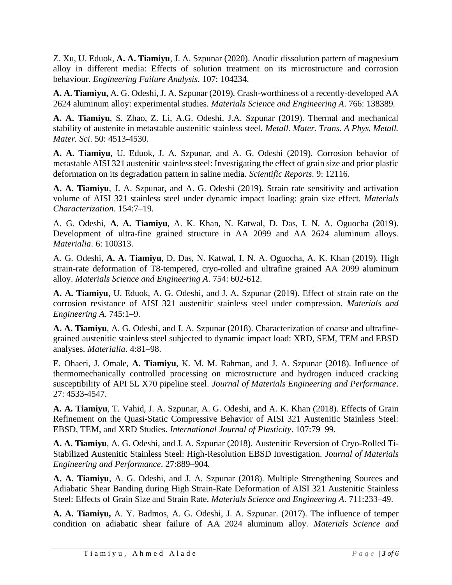Z. Xu, U. Eduok, **A. A. Tiamiyu**, J. A. Szpunar (2020). Anodic dissolution pattern of magnesium alloy in different media: Effects of solution treatment on its microstructure and corrosion behaviour. *Engineering Failure Analysis*. 107: 104234.

**A. A. Tiamiyu,** A. G. Odeshi, J. A. Szpunar (2019). Crash-worthiness of a recently-developed AA 2624 aluminum alloy: experimental studies. *Materials Science and Engineering A*. 766: 138389.

**A. A. Tiamiyu**, S. Zhao, Z. Li, A.G. Odeshi, J.A. Szpunar (2019). Thermal and mechanical stability of austenite in metastable austenitic stainless steel. *Metall. Mater. Trans. A Phys. Metall. Mater. Sci*. 50: 4513-4530.

**A. A. Tiamiyu**, U. Eduok, J. A. Szpunar, and A. G. Odeshi (2019). Corrosion behavior of metastable AISI 321 austenitic stainless steel: Investigating the effect of grain size and prior plastic deformation on its degradation pattern in saline media. *Scientific Reports*. 9: 12116.

**A. A. Tiamiyu**, J. A. Szpunar, and A. G. Odeshi (2019). Strain rate sensitivity and activation volume of AISI 321 stainless steel under dynamic impact loading: grain size effect. *Materials Characterization*. 154:7–19.

A. G. Odeshi, **A. A. Tiamiyu**, A. K. Khan, N. Katwal, D. Das, I. N. A. Oguocha (2019). Development of ultra-fine grained structure in AA 2099 and AA 2624 aluminum alloys. *Materialia*. 6: 100313.

A. G. Odeshi, **A. A. Tiamiyu**, D. Das, N. Katwal, I. N. A. Oguocha, A. K. Khan (2019). High strain-rate deformation of T8-tempered, cryo-rolled and ultrafine grained AA 2099 aluminum alloy. *Materials Science and Engineering A*. 754: 602-612.

**A. A. Tiamiyu**, U. Eduok, A. G. Odeshi, and J. A. Szpunar (2019). Effect of strain rate on the corrosion resistance of AISI 321 austenitic stainless steel under compression. *Materials and Engineering A*. 745:1–9.

**A. A. Tiamiyu**, A. G. Odeshi, and J. A. Szpunar (2018). Characterization of coarse and ultrafinegrained austenitic stainless steel subjected to dynamic impact load: XRD, SEM, TEM and EBSD analyses. *Materialia*. 4:81–98.

E. Ohaeri, J. Omale, **A. Tiamiyu**, K. M. M. Rahman, and J. A. Szpunar (2018). Influence of thermomechanically controlled processing on microstructure and hydrogen induced cracking susceptibility of API 5L X70 pipeline steel. *Journal of Materials Engineering and Performance*. 27: 4533-4547.

**A. A. Tiamiyu**, T. Vahid, J. A. Szpunar, A. G. Odeshi, and A. K. Khan (2018). Effects of Grain Refinement on the Quasi-Static Compressive Behavior of AISI 321 Austenitic Stainless Steel: EBSD, TEM, and XRD Studies. *International Journal of Plasticity*. 107:79–99.

**A. A. Tiamiyu**, A. G. Odeshi, and J. A. Szpunar (2018). Austenitic Reversion of Cryo-Rolled Ti-Stabilized Austenitic Stainless Steel: High-Resolution EBSD Investigation. *Journal of Materials Engineering and Performance*. 27:889–904.

**A. A. Tiamiyu**, A. G. Odeshi, and J. A. Szpunar (2018). Multiple Strengthening Sources and Adiabatic Shear Banding during High Strain-Rate Deformation of AISI 321 Austenitic Stainless Steel: Effects of Grain Size and Strain Rate. *Materials Science and Engineering A*. 711:233–49.

**A. A. Tiamiyu,** A. Y. Badmos, A. G. Odeshi, J. A. Szpunar. (2017). The influence of temper condition on adiabatic shear failure of AA 2024 aluminum alloy*. Materials Science and*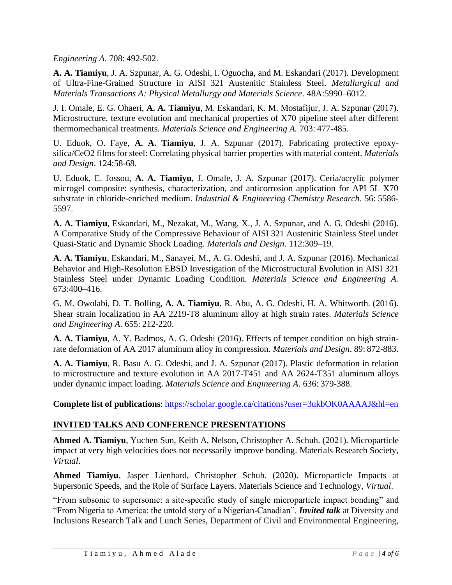*Engineering A.* 708: 492-502.

**A. A. Tiamiyu**, J. A. Szpunar, A. G. Odeshi, I. Oguocha, and M. Eskandari (2017). Development of Ultra-Fine-Grained Structure in AISI 321 Austenitic Stainless Steel. *Metallurgical and Materials Transactions A: Physical Metallurgy and Materials Science*. 48A:5990–6012.

J. I. Omale, E. G. Ohaeri, **A. A. Tiamiyu**, M. Eskandari, K. M. Mostafijur, J. A. Szpunar (2017). Microstructure, texture evolution and mechanical properties of X70 pipeline steel after different thermomechanical treatments*. Materials Science and Engineering A.* 703: 477-485.

U. Eduok, O. Faye, **A. A. Tiamiyu**, J. A. Szpunar (2017). Fabricating protective epoxysilica/CeO2 films for steel: Correlating physical barrier properties with material content. *Materials and Design*. 124:58-68.

U. Eduok, E. Jossou, **A. A. Tiamiyu**, J. Omale, J. A. Szpunar (2017). Ceria/acrylic polymer microgel composite: synthesis, characterization, and anticorrosion application for API 5L X70 substrate in chloride-enriched medium. *Industrial & Engineering Chemistry Research*. 56: 5586- 5597.

**A. A. Tiamiyu**, Eskandari, M., Nezakat, M., Wang, X., J. A. Szpunar, and A. G. Odeshi (2016). A Comparative Study of the Compressive Behaviour of AISI 321 Austenitic Stainless Steel under Quasi-Static and Dynamic Shock Loading. *Materials and Design*. 112:309–19.

**A. A. Tiamiyu**, Eskandari, M., Sanayei, M., A. G. Odeshi, and J. A. Szpunar (2016). Mechanical Behavior and High-Resolution EBSD Investigation of the Microstructural Evolution in AISI 321 Stainless Steel under Dynamic Loading Condition*. Materials Science and Engineering A.* 673:400–416.

G. M. Owolabi, D. T. Bolling, **A. A. Tiamiyu**, R. Abu, A. G. Odeshi, H. A. Whitworth. (2016). Shear strain localization in AA 2219-T8 aluminum alloy at high strain rates. *Materials Science and Engineering A*. 655: 212-220.

**A. A. Tiamiyu**, A. Y. Badmos, A. G. Odeshi (2016). Effects of temper condition on high strainrate deformation of AA 2017 aluminum alloy in compression. *Materials and Design*. 89: 872-883.

**A. A. Tiamiyu**, R. Basu A. G. Odeshi, and J. A. Szpunar (2017). Plastic deformation in relation to microstructure and texture evolution in AA 2017-T451 and AA 2624-T351 aluminum alloys under dynamic impact loading. *Materials Science and Engineering A*. 636: 379-388.

**Complete list of publications**:<https://scholar.google.ca/citations?user=3ukbOK0AAAAJ&hl=en>

## **INVITED TALKS AND CONFERENCE PRESENTATIONS**

**Ahmed A. Tiamiyu**, Yuchen Sun, Keith A. Nelson, Christopher A. Schuh. (2021). Microparticle impact at very high velocities does not necessarily improve bonding. Materials Research Society, *Virtual*.

**Ahmed Tiamiyu**, Jasper Lienhard, Christopher Schuh. (2020). Microparticle Impacts at Supersonic Speeds, and the Role of Surface Layers. Materials Science and Technology, *Virtual*.

"From subsonic to supersonic: a site-specific study of single microparticle impact bonding" and "From Nigeria to America: the untold story of a Nigerian-Canadian". *Invited talk* at Diversity and Inclusions Research Talk and Lunch Series, Department of Civil and Environmental Engineering,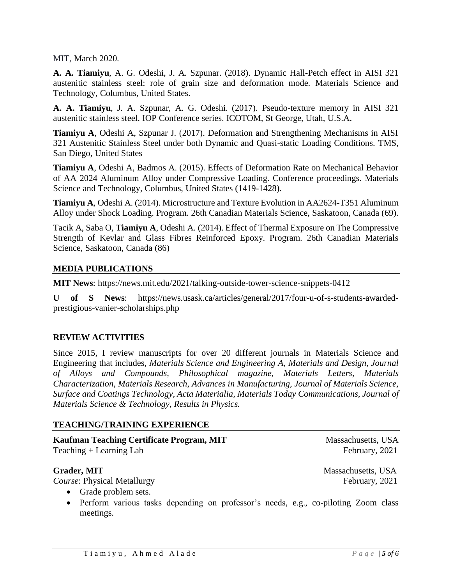#### MIT, March 2020.

**A. A. Tiamiyu**, A. G. Odeshi, J. A. Szpunar. (2018). Dynamic Hall-Petch effect in AISI 321 austenitic stainless steel: role of grain size and deformation mode. Materials Science and Technology, Columbus, United States.

**A. A. Tiamiyu**, J. A. Szpunar, A. G. Odeshi. (2017). Pseudo-texture memory in AISI 321 austenitic stainless steel. IOP Conference series. ICOTOM, St George, Utah, U.S.A.

**Tiamiyu A**, Odeshi A, Szpunar J. (2017). Deformation and Strengthening Mechanisms in AISI 321 Austenitic Stainless Steel under both Dynamic and Quasi-static Loading Conditions. TMS, San Diego, United States

**Tiamiyu A**, Odeshi A, Badmos A. (2015). Effects of Deformation Rate on Mechanical Behavior of AA 2024 Aluminum Alloy under Compressive Loading. Conference proceedings. Materials Science and Technology, Columbus, United States (1419-1428).

**Tiamiyu A**, Odeshi A. (2014). Microstructure and Texture Evolution in AA2624-T351 Aluminum Alloy under Shock Loading. Program. 26th Canadian Materials Science, Saskatoon, Canada (69).

Tacik A, Saba O, **Tiamiyu A**, Odeshi A. (2014). Effect of Thermal Exposure on The Compressive Strength of Kevlar and Glass Fibres Reinforced Epoxy. Program. 26th Canadian Materials Science, Saskatoon, Canada (86)

#### **MEDIA PUBLICATIONS**

**MIT News**: https://news.mit.edu/2021/talking-outside-tower-science-snippets-0412

**U of S News**: https://news.usask.ca/articles/general/2017/four-u-of-s-students-awardedprestigious-vanier-scholarships.php

#### **REVIEW ACTIVITIES**

Since 2015, I review manuscripts for over 20 different journals in Materials Science and Engineering that includes, *Materials Science and Engineering A*, *Materials and Design, Journal of Alloys and Compounds, Philosophical magazine, Materials Letters, Materials Characterization, Materials Research*, *Advances in Manufacturing, Journal of Materials Science, Surface and Coatings Technology, Acta Materialia, Materials Today Communications, Journal of Materials Science & Technology, Results in Physics.*

#### **TEACHING/TRAINING EXPERIENCE**

#### **Kaufman Teaching Certificate Program, MIT** Massachusetts, USA Teaching + Learning Lab February, 2021

#### **Grader, MIT Massachusetts, USA**

*Course*: Physical Metallurgy February, 2021

- Grade problem sets.
- Perform various tasks depending on professor's needs, e.g., co-piloting Zoom class meetings.